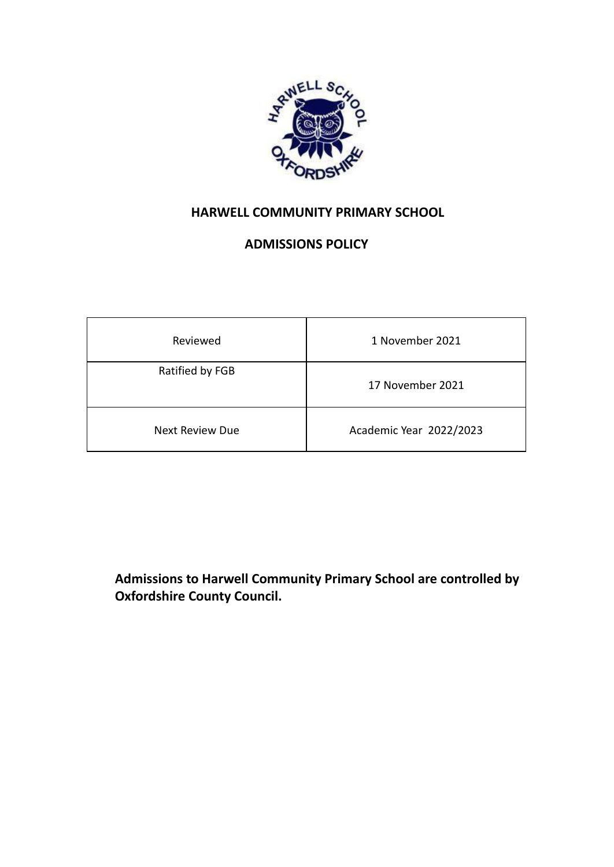

# **HARWELL COMMUNITY PRIMARY SCHOOL**

## **ADMISSIONS POLICY**

| Reviewed               | 1 November 2021         |
|------------------------|-------------------------|
| Ratified by FGB        | 17 November 2021        |
| <b>Next Review Due</b> | Academic Year 2022/2023 |

**Admissions to Harwell Community Primary School are controlled by Oxfordshire County Council.**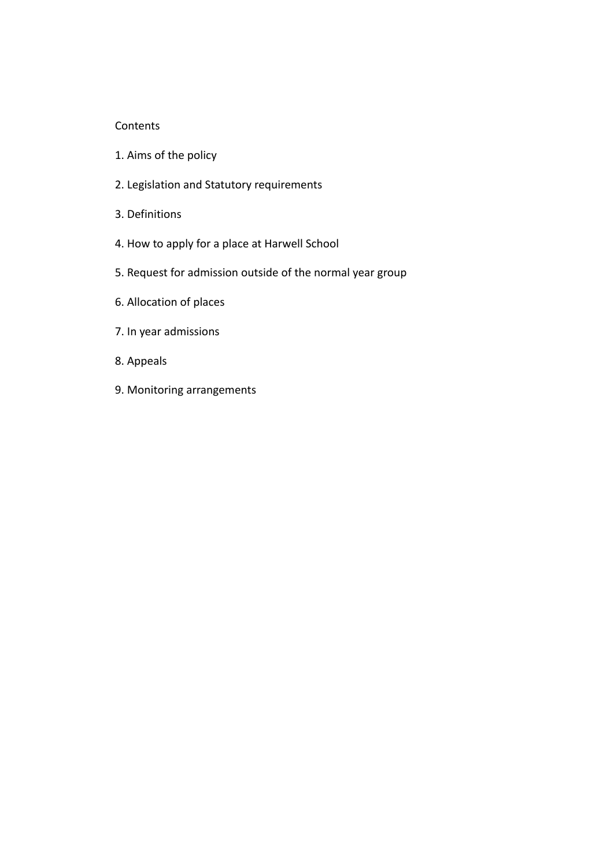#### Contents

- 1. Aims of the policy
- 2. Legislation and Statutory requirements
- 3. Definitions
- 4. How to apply for a place at Harwell School
- 5. Request for admission outside of the normal year group
- 6. Allocation of places
- 7. In year admissions
- 8. Appeals
- 9. Monitoring arrangements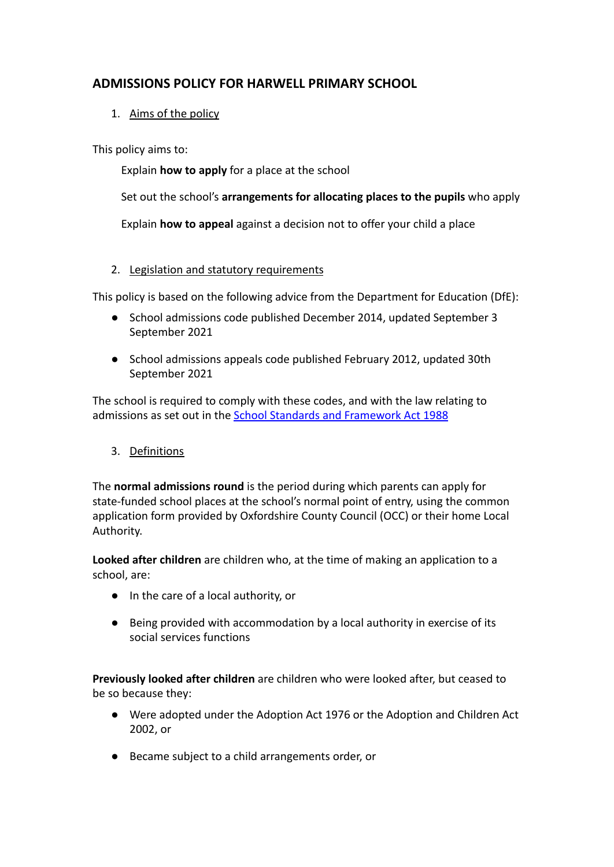## **ADMISSIONS POLICY FOR HARWELL PRIMARY SCHOOL**

1. Aims of the policy

This policy aims to:

Explain **how to apply** for a place at the school

Set out the school's **arrangements for allocating places to the pupils** who apply

Explain **how to appeal** against a decision not to offer your child a place

## 2. Legislation and statutory requirements

This policy is based on the following advice from the Department for Education (DfE):

- [School admissions code published December 2014, updated September](https://www.gov.uk/government/publications/school-admissions-code--2) 3 September 2021
- [School admissions appeals code published February 2012, updated](https://www.gov.uk/government/publications/school-admissions-appeals-code) 30th September 2021

The school is required to comply with these codes, and with the law relating to admissions as set out in the [School Standards and](https://www.legislation.gov.uk/ukpga/1998/31/contents) Framework Act 1988

## 3. Definitions

The **normal admissions round** is the period during which parents can apply for state-funded school places at the school's normal point of entry, using the common application form provided by Oxfordshire County Council (OCC) or their home Local Authority.

**Looked after children** are children who, at the time of making an application to a school, are:

- In the care of a local authority, or
- Being provided with accommodation by a local authority in exercise of its social services functions

**Previously looked after children** are children who were looked after, but ceased to be so because they:

- Were adopted under the Adoption Act 1976 or the Adoption and Children Act 2002, or
- Became subject to a child arrangements order, or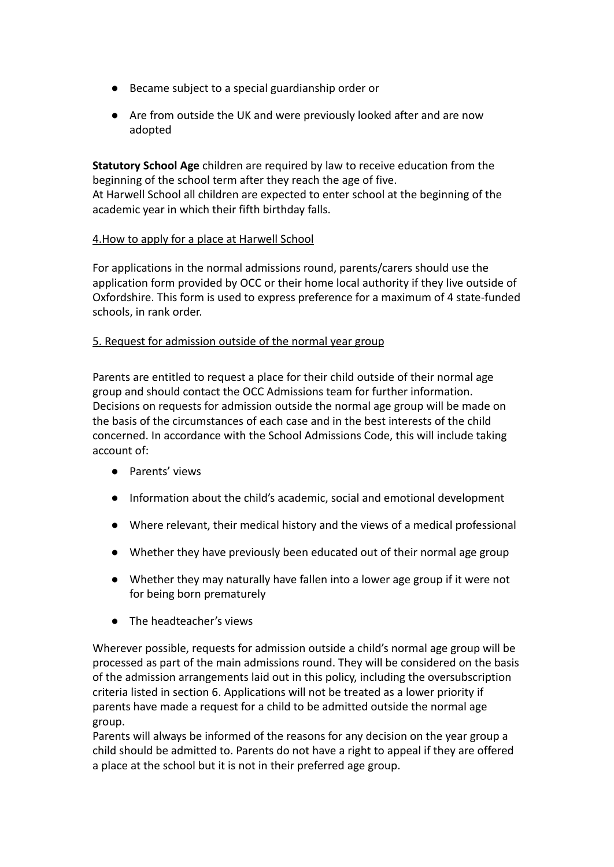- Became subject to a special guardianship order or
- Are from outside the UK and were previously looked after and are now adopted

**Statutory School Age** children are required by law to receive education from the beginning of the school term after they reach the age of five. At Harwell School all children are expected to enter school at the beginning of the academic year in which their fifth birthday falls.

### 4.How to apply for a place at Harwell School

For applications in the normal admissions round, parents/carers should use the application form provided by OCC or their home local authority if they live outside of Oxfordshire. This form is used to express preference for a maximum of 4 state-funded schools, in rank order.

#### 5. Request for admission outside of the normal year group

Parents are entitled to request a place for their child outside of their normal age group and should contact the OCC Admissions team for further information. Decisions on requests for admission outside the normal age group will be made on the basis of the circumstances of each case and in the best interests of the child concerned. In accordance with the School Admissions Code, this will include taking account of:

- Parents' views
- Information about the child's academic, social and emotional development
- Where relevant, their medical history and the views of a medical professional
- Whether they have previously been educated out of their normal age group
- Whether they may naturally have fallen into a lower age group if it were not for being born prematurely
- The headteacher's views

Wherever possible, requests for admission outside a child's normal age group will be processed as part of the main admissions round. They will be considered on the basis of the admission arrangements laid out in this policy, including the oversubscription criteria listed in section 6. Applications will not be treated as a lower priority if parents have made a request for a child to be admitted outside the normal age group.

Parents will always be informed of the reasons for any decision on the year group a child should be admitted to. Parents do not have a right to appeal if they are offered a place at the school but it is not in their preferred age group.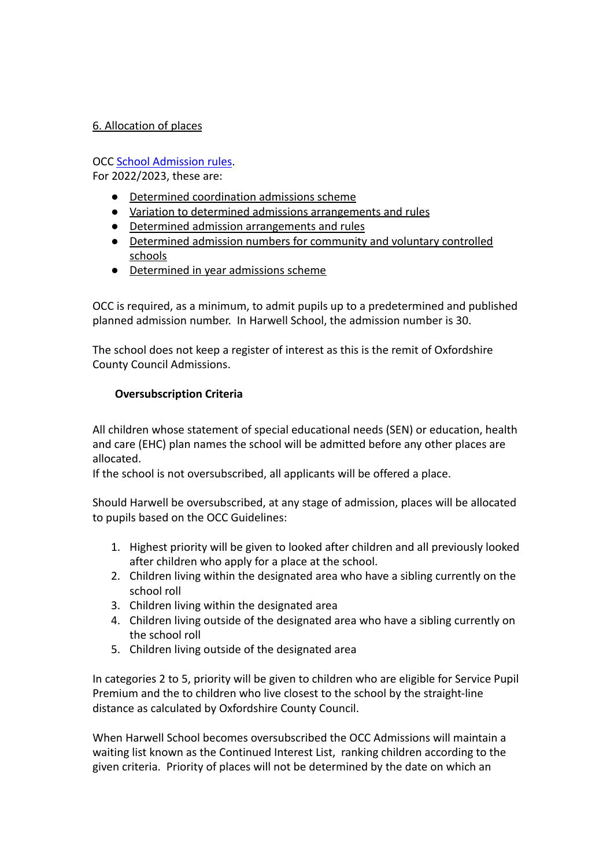## 6. Allocation of places

## OCC [School Admission rules](https://www.oxfordshire.gov.uk/residents/schools/apply-school-place/school-admission-rules-and-policies/admission-rules).

For 2022/2023, these are:

- [Determined coordination admissions scheme](https://www.oxfordshire.gov.uk/sites/default/files/file/admission-policies/OCC_Determined_Phased_Admission_Scheme_2022-23.pdf)
- [Variation to determined admissions arrangements and rules](https://www.oxfordshire.gov.uk/sites/default/files/file/school-admissions/VariationDeterminedArrangementsRules22-23.pdf)
- [Determined admission arrangements and rules](https://www.oxfordshire.gov.uk/sites/default/files/file/admission-policies/OCC_Determined_Admission_Arrangements_Oversubscription_Criteria_2022-23.pdf)
- [Determined admission numbers for community and voluntary controlled](https://www.oxfordshire.gov.uk/sites/default/files/file/admission-policies/OCC_Determined_Admission_Numbers_2022-23.pdf) [schools](https://www.oxfordshire.gov.uk/sites/default/files/file/admission-policies/OCC_Determined_Admission_Numbers_2022-23.pdf)
- [Determined in year admissions scheme](https://www.oxfordshire.gov.uk/sites/default/files/file/admission-policies/OCC_Determined_In-Year_Admissions_Scheme_2022-23.pdf)

OCC is required, as a minimum, to admit pupils up to a predetermined and published planned admission number. In Harwell School, the admission number is 30.

The school does not keep a register of interest as this is the remit of Oxfordshire County Council Admissions.

## **Oversubscription Criteria**

All children whose statement of special educational needs (SEN) or education, health and care (EHC) plan names the school will be admitted before any other places are allocated.

If the school is not oversubscribed, all applicants will be offered a place.

Should Harwell be oversubscribed, at any stage of admission, places will be allocated to pupils based on the OCC Guidelines:

- 1. Highest priority will be given to looked after children and all previously looked after children who apply for a place at the school.
- 2. Children living within the designated area who have a sibling currently on the school roll
- 3. Children living within the designated area
- 4. Children living outside of the designated area who have a sibling currently on the school roll
- 5. Children living outside of the designated area

In categories 2 to 5, priority will be given to children who are eligible for Service Pupil Premium and the to children who live closest to the school by the straight-line distance as calculated by Oxfordshire County Council.

When Harwell School becomes oversubscribed the OCC Admissions will maintain a waiting list known as the Continued Interest List, ranking children according to the given criteria. Priority of places will not be determined by the date on which an